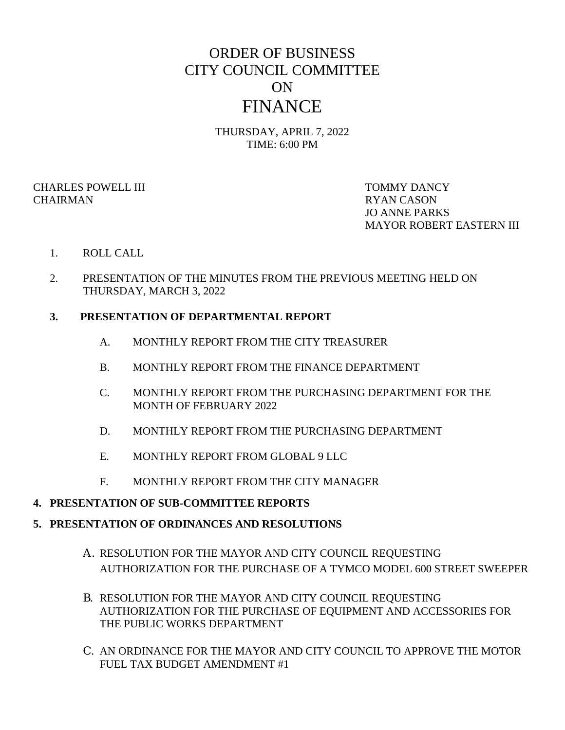# ORDER OF BUSINESS CITY COUNCIL COMMITTEE ON FINANCE

THURSDAY, APRIL 7, 2022 TIME: 6:00 PM

CHARLES POWELL III TOMMY DANCY CHAIRMAN RYAN CASON

JO ANNE PARKS MAYOR ROBERT EASTERN III

## 1. ROLL CALL

2. PRESENTATION OF THE MINUTES FROM THE PREVIOUS MEETING HELD ON THURSDAY, MARCH 3, 2022

## **3. PRESENTATION OF DEPARTMENTAL REPORT**

- A. MONTHLY REPORT FROM THE CITY TREASURER
- B. MONTHLY REPORT FROM THE FINANCE DEPARTMENT
- C. MONTHLY REPORT FROM THE PURCHASING DEPARTMENT FOR THE MONTH OF FEBRUARY 2022
- D. MONTHLY REPORT FROM THE PURCHASING DEPARTMENT
- E. MONTHLY REPORT FROM GLOBAL 9 LLC
- F. MONTHLY REPORT FROM THE CITY MANAGER

#### **4. PRESENTATION OF SUB-COMMITTEE REPORTS**

#### **5. PRESENTATION OF ORDINANCES AND RESOLUTIONS**

- A. RESOLUTION FOR THE MAYOR AND CITY COUNCIL REQUESTING AUTHORIZATION FOR THE PURCHASE OF A TYMCO MODEL 600 STREET SWEEPER
- B. RESOLUTION FOR THE MAYOR AND CITY COUNCIL REQUESTING AUTHORIZATION FOR THE PURCHASE OF EQUIPMENT AND ACCESSORIES FOR THE PUBLIC WORKS DEPARTMENT
- C. AN ORDINANCE FOR THE MAYOR AND CITY COUNCIL TO APPROVE THE MOTOR FUEL TAX BUDGET AMENDMENT #1